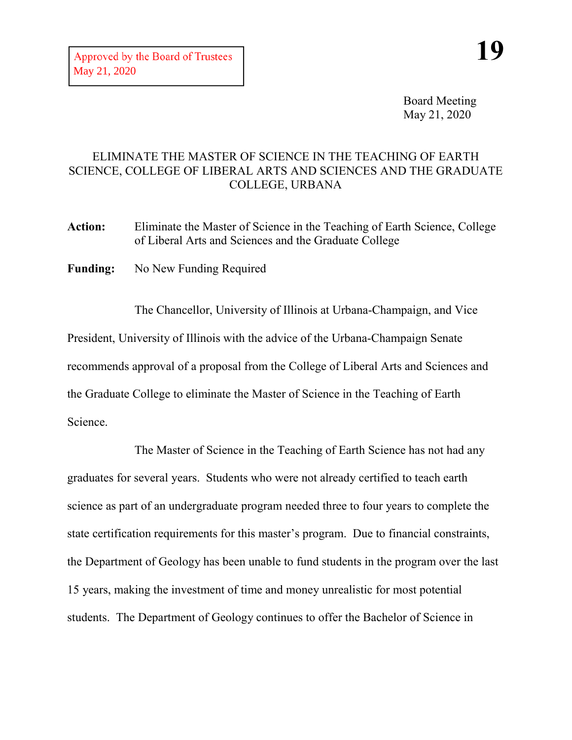Board Meeting May 21, 2020

## ELIMINATE THE MASTER OF SCIENCE IN THE TEACHING OF EARTH SCIENCE, COLLEGE OF LIBERAL ARTS AND SCIENCES AND THE GRADUATE COLLEGE, URBANA

**Action:** Eliminate the Master of Science in the Teaching of Earth Science, College of Liberal Arts and Sciences and the Graduate College

**Funding:** No New Funding Required

The Chancellor, University of Illinois at Urbana-Champaign, and Vice President, University of Illinois with the advice of the Urbana-Champaign Senate recommends approval of a proposal from the College of Liberal Arts and Sciences and the Graduate College to eliminate the Master of Science in the Teaching of Earth Science.

The Master of Science in the Teaching of Earth Science has not had any graduates for several years. Students who were not already certified to teach earth science as part of an undergraduate program needed three to four years to complete the state certification requirements for this master's program. Due to financial constraints, the Department of Geology has been unable to fund students in the program over the last 15 years, making the investment of time and money unrealistic for most potential students. The Department of Geology continues to offer the Bachelor of Science in